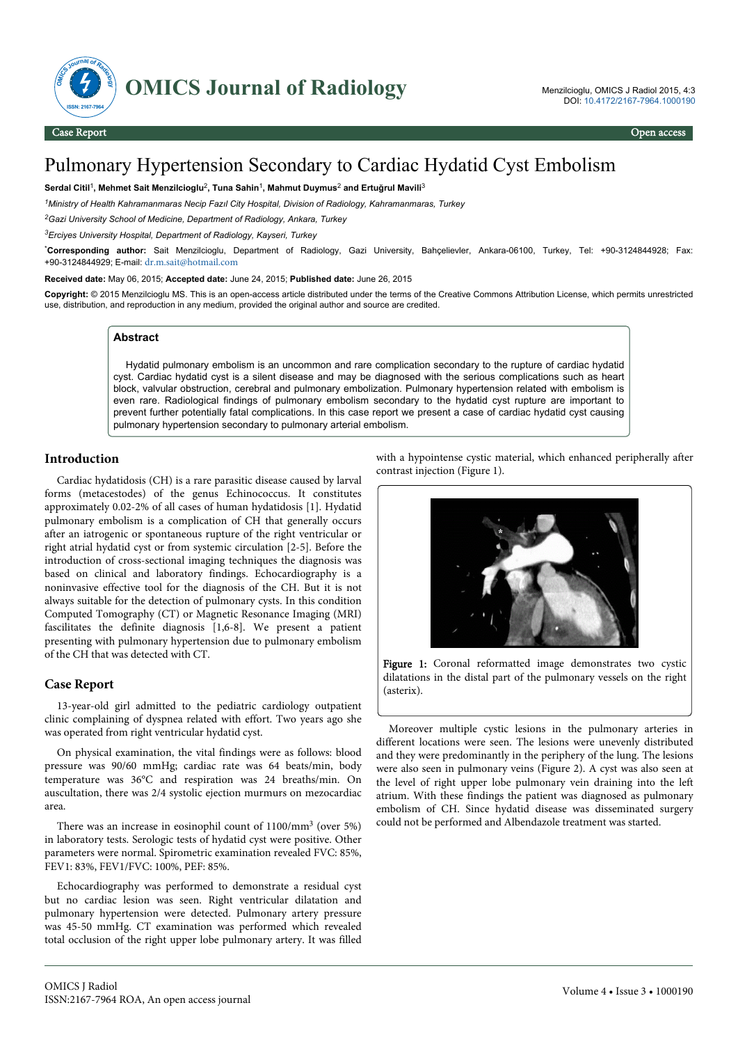

# Pulmonary Hypertension Secondary to Cardiac Hydatid Cyst Embolism

#### **Serdal Citil**<sup>1</sup> **, Mehmet Sait Menzilcioglu**<sup>2</sup> **, Tuna Sahin**<sup>1</sup> **, Mahmut Duymus**<sup>2</sup>  **and Ertuğrul Mavili**<sup>3</sup>

*<sup>1</sup>Ministry of Health Kahramanmaras Necip Fazıl City Hospital, Division of Radiology, Kahramanmaras, Turkey*

*<sup>2</sup>Gazi University School of Medicine, Department of Radiology, Ankara, Turkey*

*<sup>3</sup>Erciyes University Hospital, Department of Radiology, Kayseri, Turkey*

\***Corresponding author:** Sait Menzilcioglu, Department of Radiology, Gazi University, Bahçelievler, Ankara-06100, Turkey, Tel: +90-3124844928; Fax: +90-3124844929; E-mail: [dr.m.sait@hotmail.com](mailto:dr.m.sait@hotmail.com)

**Received date:** May 06, 2015; **Accepted date:** June 24, 2015; **Published date:** June 26, 2015

**Copyright:** © 2015 Menzilcioglu MS. This is an open-access article distributed under the terms of the Creative Commons Attribution License, which permits unrestricted use, distribution, and reproduction in any medium, provided the original author and source are credited.

#### **Abstract**

Hydatid pulmonary embolism is an uncommon and rare complication secondary to the rupture of cardiac hydatid cyst. Cardiac hydatid cyst is a silent disease and may be diagnosed with the serious complications such as heart block, valvular obstruction, cerebral and pulmonary embolization. Pulmonary hypertension related with embolism is even rare. Radiological findings of pulmonary embolism secondary to the hydatid cyst rupture are important to prevent further potentially fatal complications. In this case report we present a case of cardiac hydatid cyst causing pulmonary hypertension secondary to pulmonary arterial embolism.

# **Introduction**

Cardiac hydatidosis (CH) is a rare parasitic disease caused by larval forms (metacestodes) of the genus Echinococcus. It constitutes approximately 0.02-2% of all cases of human hydatidosis [1]. Hydatid pulmonary embolism is a complication of CH that generally occurs after an iatrogenic or spontaneous rupture of the right ventricular or right atrial hydatid cyst or from systemic circulation [2-5]. Before the introduction of cross-sectional imaging techniques the diagnosis was based on clinical and laboratory findings. Echocardiography is a noninvasive effective tool for the diagnosis of the CH. But it is not always suitable for the detection of pulmonary cysts. In this condition Computed Tomography (CT) or Magnetic Resonance Imaging (MRI) fascilitates the definite diagnosis [1,6-8]. We present a patient presenting with pulmonary hypertension due to pulmonary embolism of the CH that was detected with CT.

### **Case Report**

13-year-old girl admitted to the pediatric cardiology outpatient clinic complaining of dyspnea related with effort. Two years ago she was operated from right ventricular hydatid cyst.

On physical examination, the vital findings were as follows: blood pressure was 90/60 mmHg; cardiac rate was 64 beats/min, body temperature was 36°C and respiration was 24 breaths/min. On auscultation, there was 2/4 systolic ejection murmurs on mezocardiac area.

There was an increase in eosinophil count of 1100/mm<sup>3</sup> (over 5%) in laboratory tests. Serologic tests of hydatid cyst were positive. Other parameters were normal. Spirometric examination revealed FVC: 85%, FEV1: 83%, FEV1/FVC: 100%, PEF: 85%.

Echocardiography was performed to demonstrate a residual cyst but no cardiac lesion was seen. Right ventricular dilatation and pulmonary hypertension were detected. Pulmonary artery pressure was 45-50 mmHg. CT examination was performed which revealed total occlusion of the right upper lobe pulmonary artery. It was filled with a hypointense cystic material, which enhanced peripherally after contrast injection (Figure 1).



Figure 1: Coronal reformatted image demonstrates two cystic dilatations in the distal part of the pulmonary vessels on the right (asterix).

Moreover multiple cystic lesions in the pulmonary arteries in different locations were seen. The lesions were unevenly distributed and they were predominantly in the periphery of the lung. The lesions were also seen in pulmonary veins (Figure 2). A cyst was also seen at the level of right upper lobe pulmonary vein draining into the left atrium. With these findings the patient was diagnosed as pulmonary embolism of CH. Since hydatid disease was disseminated surgery could not be performed and Albendazole treatment was started.